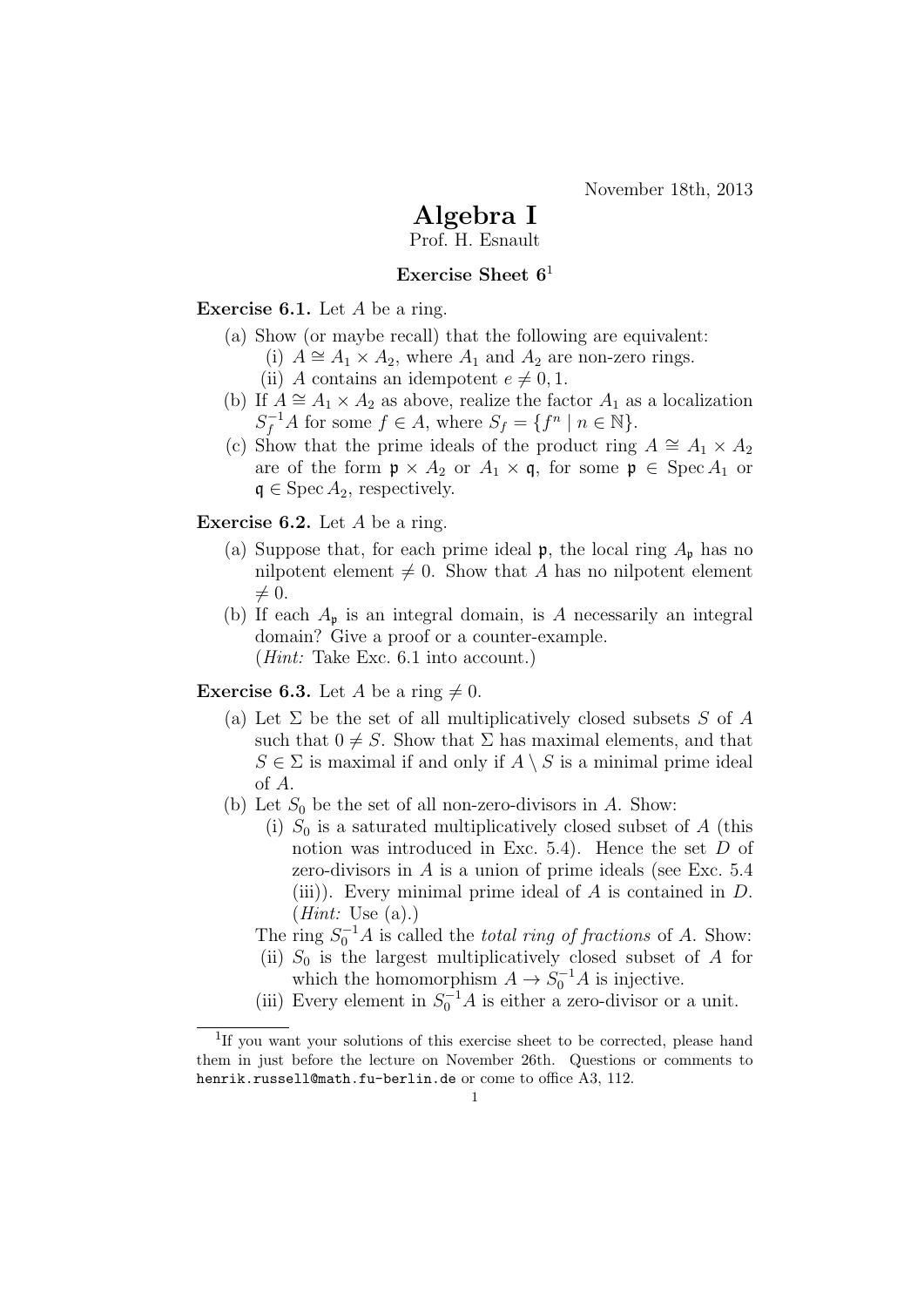November 18th, 2013

## Algebra I

Prof. H. Esnault

## Exercise Sheet  $6<sup>1</sup>$

**Exercise 6.1.** Let  $A$  be a ring.

- (a) Show (or maybe recall) that the following are equivalent:
	- (i)  $A \cong A_1 \times A_2$ , where  $A_1$  and  $A_2$  are non-zero rings.
		- (ii) A contains an idempotent  $e \neq 0, 1$ .
- (b) If  $A \cong A_1 \times A_2$  as above, realize the factor  $A_1$  as a localization  $S_f^{-1}A$  for some  $f \in A$ , where  $S_f = \{f^n \mid n \in \mathbb{N}\}.$
- (c) Show that the prime ideals of the product ring  $A \cong A_1 \times A_2$ are of the form  $\mathfrak{p} \times A_2$  or  $A_1 \times \mathfrak{q}$ , for some  $\mathfrak{p} \in \text{Spec } A_1$  or  $\mathfrak{q} \in \operatorname{Spec} A_2$ , respectively.

Exercise 6.2. Let A be a ring.

- (a) Suppose that, for each prime ideal  $\mathfrak{p}$ , the local ring  $A_{\mathfrak{p}}$  has no nilpotent element  $\neq 0$ . Show that A has no nilpotent element  $\neq 0.$
- (b) If each  $A_{\mathfrak{p}}$  is an integral domain, is A necessarily an integral domain? Give a proof or a counter-example. (Hint: Take Exc. 6.1 into account.)

**Exercise 6.3.** Let A be a ring  $\neq 0$ .

- (a) Let  $\Sigma$  be the set of all multiplicatively closed subsets S of A such that  $0 \neq S$ . Show that  $\Sigma$  has maximal elements, and that  $S \in \Sigma$  is maximal if and only if  $A \setminus S$  is a minimal prime ideal of A.
- (b) Let  $S_0$  be the set of all non-zero-divisors in A. Show:
	- (i)  $S_0$  is a saturated multiplicatively closed subset of A (this notion was introduced in Exc. 5.4). Hence the set D of zero-divisors in  $A$  is a union of prime ideals (see Exc.  $5.4$ (iii)). Every minimal prime ideal of  $A$  is contained in  $D$ .  $(Hint: Use (a).)$

The ring  $S_0^{-1}A$  is called the *total ring of fractions* of A. Show:

- (ii)  $S_0$  is the largest multiplicatively closed subset of A for which the homomorphism  $A \to S_0^{-1}A$  is injective.
- (iii) Every element in  $S_0^{-1}A$  is either a zero-divisor or a unit.

<sup>&</sup>lt;sup>1</sup>If you want your solutions of this exercise sheet to be corrected, please hand them in just before the lecture on November 26th. Questions or comments to henrik.russell@math.fu-berlin.de or come to office A3, 112.